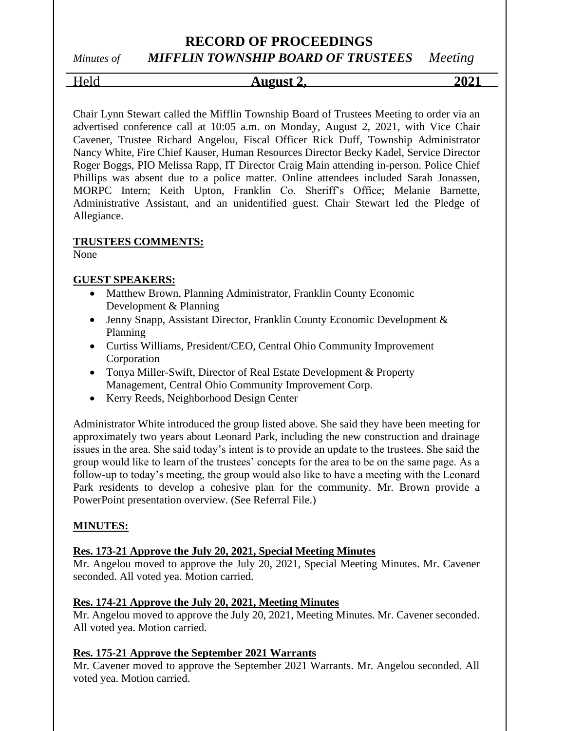# *Minutes of MIFFLIN TOWNSHIP BOARD OF TRUSTEES Meeting*

Held **August 2, 2021**

Chair Lynn Stewart called the Mifflin Township Board of Trustees Meeting to order via an advertised conference call at 10:05 a.m. on Monday, August 2, 2021, with Vice Chair Cavener, Trustee Richard Angelou, Fiscal Officer Rick Duff, Township Administrator Nancy White, Fire Chief Kauser, Human Resources Director Becky Kadel, Service Director Roger Boggs, PIO Melissa Rapp, IT Director Craig Main attending in-person. Police Chief Phillips was absent due to a police matter. Online attendees included Sarah Jonassen, MORPC Intern; Keith Upton, Franklin Co. Sheriff's Office; Melanie Barnette, Administrative Assistant, and an unidentified guest. Chair Stewart led the Pledge of Allegiance.

### **TRUSTEES COMMENTS:**

None

### **GUEST SPEAKERS:**

- Matthew Brown, Planning Administrator, Franklin County Economic Development & Planning
- Jenny Snapp, Assistant Director, Franklin County Economic Development & Planning
- Curtiss Williams, President/CEO, Central Ohio Community Improvement Corporation
- Tonya Miller-Swift, Director of Real Estate Development & Property Management, Central Ohio Community Improvement Corp.
- Kerry Reeds, Neighborhood Design Center

Administrator White introduced the group listed above. She said they have been meeting for approximately two years about Leonard Park, including the new construction and drainage issues in the area. She said today's intent is to provide an update to the trustees. She said the group would like to learn of the trustees' concepts for the area to be on the same page. As a follow-up to today's meeting, the group would also like to have a meeting with the Leonard Park residents to develop a cohesive plan for the community. Mr. Brown provide a PowerPoint presentation overview. (See Referral File.)

#### **MINUTES:**

# **Res. 173-21 Approve the July 20, 2021, Special Meeting Minutes**

Mr. Angelou moved to approve the July 20, 2021, Special Meeting Minutes. Mr. Cavener seconded. All voted yea. Motion carried.

#### **Res. 174-21 Approve the July 20, 2021, Meeting Minutes**

Mr. Angelou moved to approve the July 20, 2021, Meeting Minutes. Mr. Cavener seconded. All voted yea. Motion carried.

#### **Res. 175-21 Approve the September 2021 Warrants**

Mr. Cavener moved to approve the September 2021 Warrants. Mr. Angelou seconded. All voted yea. Motion carried.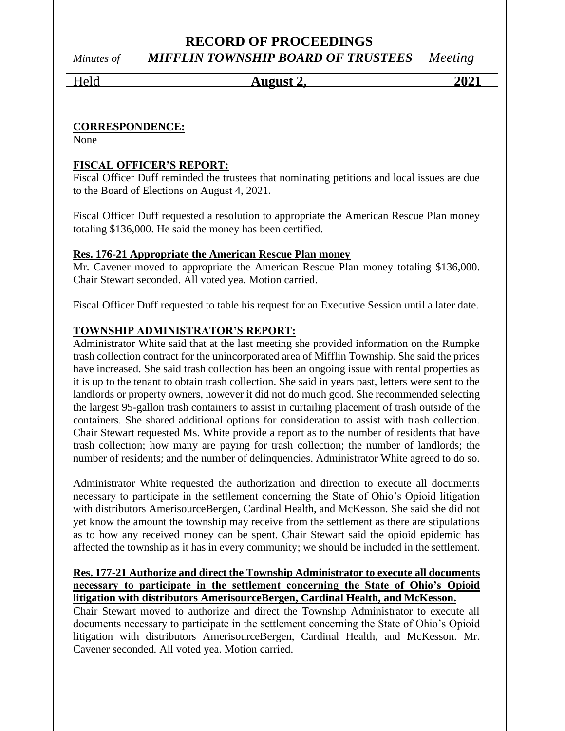# **RECORD OF PROCEEDINGS** *Minutes of MIFFLIN TOWNSHIP BOARD OF TRUSTEES Meeting*

Held **August 2, 2021**

#### **CORRESPONDENCE:**

None

### **FISCAL OFFICER'S REPORT:**

Fiscal Officer Duff reminded the trustees that nominating petitions and local issues are due to the Board of Elections on August 4, 2021.

Fiscal Officer Duff requested a resolution to appropriate the American Rescue Plan money totaling \$136,000. He said the money has been certified.

### **Res. 176-21 Appropriate the American Rescue Plan money**

Mr. Cavener moved to appropriate the American Rescue Plan money totaling \$136,000. Chair Stewart seconded. All voted yea. Motion carried.

Fiscal Officer Duff requested to table his request for an Executive Session until a later date.

# **TOWNSHIP ADMINISTRATOR'S REPORT:**

Administrator White said that at the last meeting she provided information on the Rumpke trash collection contract for the unincorporated area of Mifflin Township. She said the prices have increased. She said trash collection has been an ongoing issue with rental properties as it is up to the tenant to obtain trash collection. She said in years past, letters were sent to the landlords or property owners, however it did not do much good. She recommended selecting the largest 95-gallon trash containers to assist in curtailing placement of trash outside of the containers. She shared additional options for consideration to assist with trash collection. Chair Stewart requested Ms. White provide a report as to the number of residents that have trash collection; how many are paying for trash collection; the number of landlords; the number of residents; and the number of delinquencies. Administrator White agreed to do so.

Administrator White requested the authorization and direction to execute all documents necessary to participate in the settlement concerning the State of Ohio's Opioid litigation with distributors AmerisourceBergen, Cardinal Health, and McKesson. She said she did not yet know the amount the township may receive from the settlement as there are stipulations as to how any received money can be spent. Chair Stewart said the opioid epidemic has affected the township as it has in every community; we should be included in the settlement.

#### **Res. 177-21 Authorize and direct the Township Administrator to execute all documents necessary to participate in the settlement concerning the State of Ohio's Opioid litigation with distributors AmerisourceBergen, Cardinal Health, and McKesson.**

Chair Stewart moved to authorize and direct the Township Administrator to execute all documents necessary to participate in the settlement concerning the State of Ohio's Opioid litigation with distributors AmerisourceBergen, Cardinal Health, and McKesson. Mr. Cavener seconded. All voted yea. Motion carried.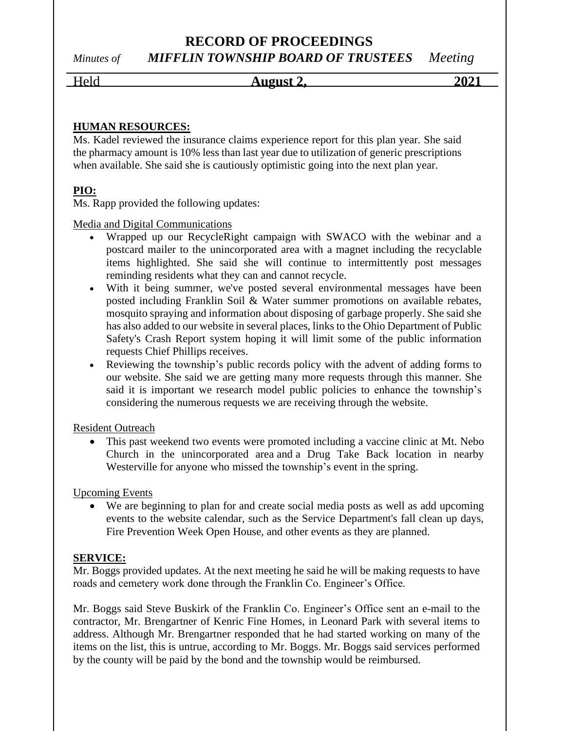# **RECORD OF PROCEEDINGS** *Minutes of MIFFLIN TOWNSHIP BOARD OF TRUSTEES Meeting*

Held **August 2, 2021**

## **HUMAN RESOURCES:**

Ms. Kadel reviewed the insurance claims experience report for this plan year. She said the pharmacy amount is 10% less than last year due to utilization of generic prescriptions when available. She said she is cautiously optimistic going into the next plan year.

# **PIO:**

Ms. Rapp provided the following updates:

Media and Digital Communications

- Wrapped up our RecycleRight campaign with SWACO with the webinar and a postcard mailer to the unincorporated area with a magnet including the recyclable items highlighted. She said she will continue to intermittently post messages reminding residents what they can and cannot recycle.
- With it being summer, we've posted several environmental messages have been posted including Franklin Soil & Water summer promotions on available rebates, mosquito spraying and information about disposing of garbage properly. She said she has also added to our website in several places, links to the Ohio Department of Public Safety's Crash Report system hoping it will limit some of the public information requests Chief Phillips receives.
- Reviewing the township's public records policy with the advent of adding forms to our website. She said we are getting many more requests through this manner. She said it is important we research model public policies to enhance the township's considering the numerous requests we are receiving through the website.

Resident Outreach

• This past weekend two events were promoted including a vaccine clinic at Mt. Nebo Church in the unincorporated area and a Drug Take Back location in nearby Westerville for anyone who missed the township's event in the spring.

Upcoming Events

• We are beginning to plan for and create social media posts as well as add upcoming events to the website calendar, such as the Service Department's fall clean up days, Fire Prevention Week Open House, and other events as they are planned.

#### **SERVICE:**

Mr. Boggs provided updates. At the next meeting he said he will be making requests to have roads and cemetery work done through the Franklin Co. Engineer's Office.

Mr. Boggs said Steve Buskirk of the Franklin Co. Engineer's Office sent an e-mail to the contractor, Mr. Brengartner of Kenric Fine Homes, in Leonard Park with several items to address. Although Mr. Brengartner responded that he had started working on many of the items on the list, this is untrue, according to Mr. Boggs. Mr. Boggs said services performed by the county will be paid by the bond and the township would be reimbursed.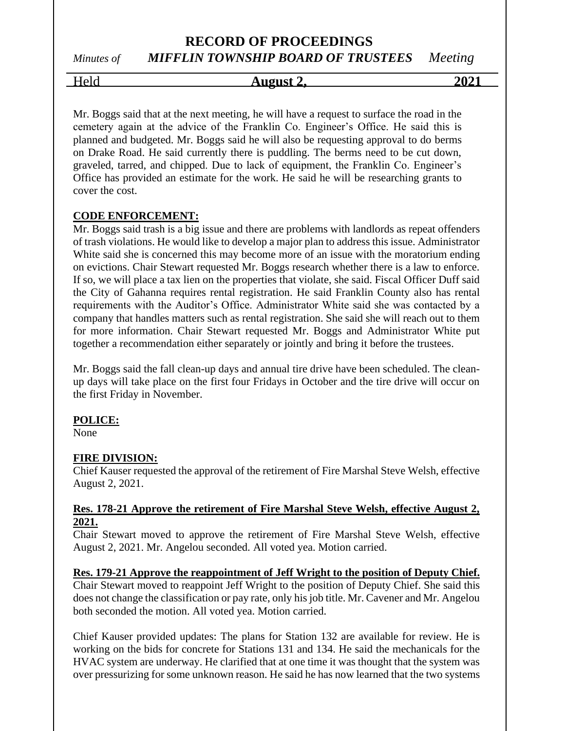# *Minutes of MIFFLIN TOWNSHIP BOARD OF TRUSTEES Meeting*

# Held **August 2, 2021**

Mr. Boggs said that at the next meeting, he will have a request to surface the road in the cemetery again at the advice of the Franklin Co. Engineer's Office. He said this is planned and budgeted. Mr. Boggs said he will also be requesting approval to do berms on Drake Road. He said currently there is puddling. The berms need to be cut down, graveled, tarred, and chipped. Due to lack of equipment, the Franklin Co. Engineer's Office has provided an estimate for the work. He said he will be researching grants to cover the cost.

# **CODE ENFORCEMENT:**

Mr. Boggs said trash is a big issue and there are problems with landlords as repeat offenders of trash violations. He would like to develop a major plan to address this issue. Administrator White said she is concerned this may become more of an issue with the moratorium ending on evictions. Chair Stewart requested Mr. Boggs research whether there is a law to enforce. If so, we will place a tax lien on the properties that violate, she said. Fiscal Officer Duff said the City of Gahanna requires rental registration. He said Franklin County also has rental requirements with the Auditor's Office. Administrator White said she was contacted by a company that handles matters such as rental registration. She said she will reach out to them for more information. Chair Stewart requested Mr. Boggs and Administrator White put together a recommendation either separately or jointly and bring it before the trustees.

Mr. Boggs said the fall clean-up days and annual tire drive have been scheduled. The cleanup days will take place on the first four Fridays in October and the tire drive will occur on the first Friday in November.

# **POLICE:**

None

# **FIRE DIVISION:**

Chief Kauser requested the approval of the retirement of Fire Marshal Steve Welsh, effective August 2, 2021.

#### **Res. 178-21 Approve the retirement of Fire Marshal Steve Welsh, effective August 2, 2021.**

Chair Stewart moved to approve the retirement of Fire Marshal Steve Welsh, effective August 2, 2021. Mr. Angelou seconded. All voted yea. Motion carried.

# **Res. 179-21 Approve the reappointment of Jeff Wright to the position of Deputy Chief.**

Chair Stewart moved to reappoint Jeff Wright to the position of Deputy Chief. She said this does not change the classification or pay rate, only his job title. Mr. Cavener and Mr. Angelou both seconded the motion. All voted yea. Motion carried.

Chief Kauser provided updates: The plans for Station 132 are available for review. He is working on the bids for concrete for Stations 131 and 134. He said the mechanicals for the HVAC system are underway. He clarified that at one time it was thought that the system was over pressurizing for some unknown reason. He said he has now learned that the two systems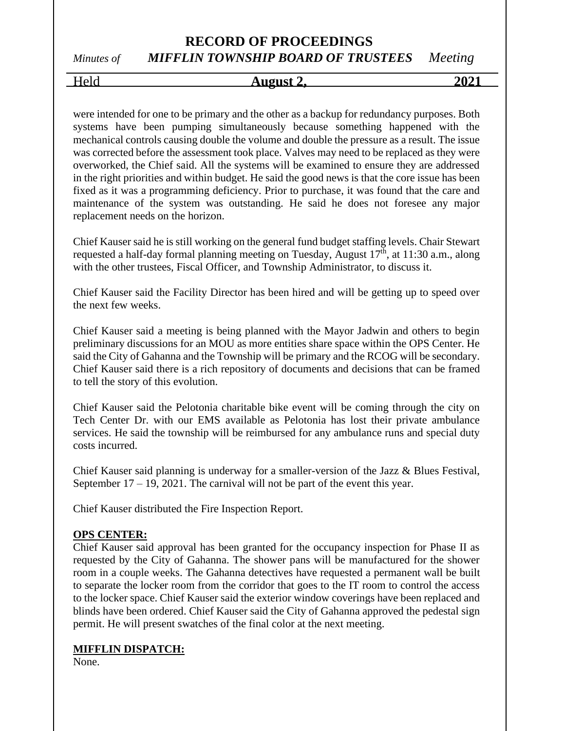# *Minutes of MIFFLIN TOWNSHIP BOARD OF TRUSTEES Meeting*

# Held **August 2, 2021**

were intended for one to be primary and the other as a backup for redundancy purposes. Both systems have been pumping simultaneously because something happened with the mechanical controls causing double the volume and double the pressure as a result. The issue was corrected before the assessment took place. Valves may need to be replaced as they were overworked, the Chief said. All the systems will be examined to ensure they are addressed in the right priorities and within budget. He said the good news is that the core issue has been fixed as it was a programming deficiency. Prior to purchase, it was found that the care and maintenance of the system was outstanding. He said he does not foresee any major replacement needs on the horizon.

Chief Kauser said he is still working on the general fund budget staffing levels. Chair Stewart requested a half-day formal planning meeting on Tuesday, August  $17<sup>th</sup>$ , at  $11:30$  a.m., along with the other trustees, Fiscal Officer, and Township Administrator, to discuss it.

Chief Kauser said the Facility Director has been hired and will be getting up to speed over the next few weeks.

Chief Kauser said a meeting is being planned with the Mayor Jadwin and others to begin preliminary discussions for an MOU as more entities share space within the OPS Center. He said the City of Gahanna and the Township will be primary and the RCOG will be secondary. Chief Kauser said there is a rich repository of documents and decisions that can be framed to tell the story of this evolution.

Chief Kauser said the Pelotonia charitable bike event will be coming through the city on Tech Center Dr. with our EMS available as Pelotonia has lost their private ambulance services. He said the township will be reimbursed for any ambulance runs and special duty costs incurred.

Chief Kauser said planning is underway for a smaller-version of the Jazz & Blues Festival, September 17 – 19, 2021. The carnival will not be part of the event this year.

Chief Kauser distributed the Fire Inspection Report.

#### **OPS CENTER:**

Chief Kauser said approval has been granted for the occupancy inspection for Phase II as requested by the City of Gahanna. The shower pans will be manufactured for the shower room in a couple weeks. The Gahanna detectives have requested a permanent wall be built to separate the locker room from the corridor that goes to the IT room to control the access to the locker space. Chief Kauser said the exterior window coverings have been replaced and blinds have been ordered. Chief Kauser said the City of Gahanna approved the pedestal sign permit. He will present swatches of the final color at the next meeting.

#### **MIFFLIN DISPATCH:**

None.